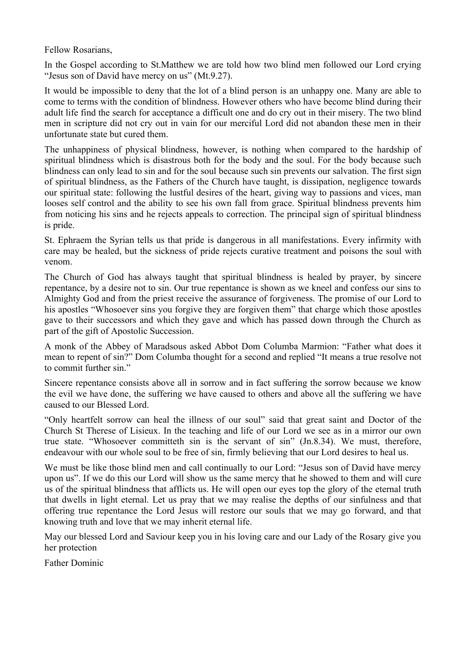Fellow Rosarians,

In the Gospel according to St.Matthew we are told how two blind men followed our Lord crying "Jesus son of David have mercy on us" (Mt.9.27).

It would be impossible to deny that the lot of a blind person is an unhappy one. Many are able to come to terms with the condition of blindness. However others who have become blind during their adult life find the search for acceptance a difficult one and do cry out in their misery. The two blind men in scripture did not cry out in vain for our merciful Lord did not abandon these men in their unfortunate state but cured them.

The unhappiness of physical blindness, however, is nothing when compared to the hardship of spiritual blindness which is disastrous both for the body and the soul. For the body because such blindness can only lead to sin and for the soul because such sin prevents our salvation. The first sign of spiritual blindness, as the Fathers of the Church have taught, is dissipation, negligence towards our spiritual state: following the lustful desires of the heart, giving way to passions and vices, man looses self control and the ability to see his own fall from grace. Spiritual blindness prevents him from noticing his sins and he rejects appeals to correction. The principal sign of spiritual blindness is pride.

St. Ephraem the Syrian tells us that pride is dangerous in all manifestations. Every infirmity with care may be healed, but the sickness of pride rejects curative treatment and poisons the soul with venom.

The Church of God has always taught that spiritual blindness is healed by prayer, by sincere repentance, by a desire not to sin. Our true repentance is shown as we kneel and confess our sins to Almighty God and from the priest receive the assurance of forgiveness. The promise of our Lord to his apostles "Whosoever sins you forgive they are forgiven them" that charge which those apostles gave to their successors and which they gave and which has passed down through the Church as part of the gift of Apostolic Succession.

A monk of the Abbey of Maradsous asked Abbot Dom Columba Marmion: "Father what does it mean to repent of sin?" Dom Columba thought for a second and replied "It means a true resolve not to commit further sin."

Sincere repentance consists above all in sorrow and in fact suffering the sorrow because we know the evil we have done, the suffering we have caused to others and above all the suffering we have caused to our Blessed Lord.

"Only heartfelt sorrow can heal the illness of our soul" said that great saint and Doctor of the Church St Therese of Lisieux. In the teaching and life of our Lord we see as in a mirror our own true state. "Whosoever committeth sin is the servant of sin" (Jn.8.34). We must, therefore, endeavour with our whole soul to be free of sin, firmly believing that our Lord desires to heal us.

We must be like those blind men and call continually to our Lord: "Jesus son of David have mercy" upon us". If we do this our Lord will show us the same mercy that he showed to them and will cure us of the spiritual blindness that afflicts us. He will open our eyes top the glory of the eternal truth that dwells in light eternal. Let us pray that we may realise the depths of our sinfulness and that offering true repentance the Lord Jesus will restore our souls that we may go forward, and that knowing truth and love that we may inherit eternal life.

May our blessed Lord and Saviour keep you in his loving care and our Lady of the Rosary give you her protection

Father Dominic